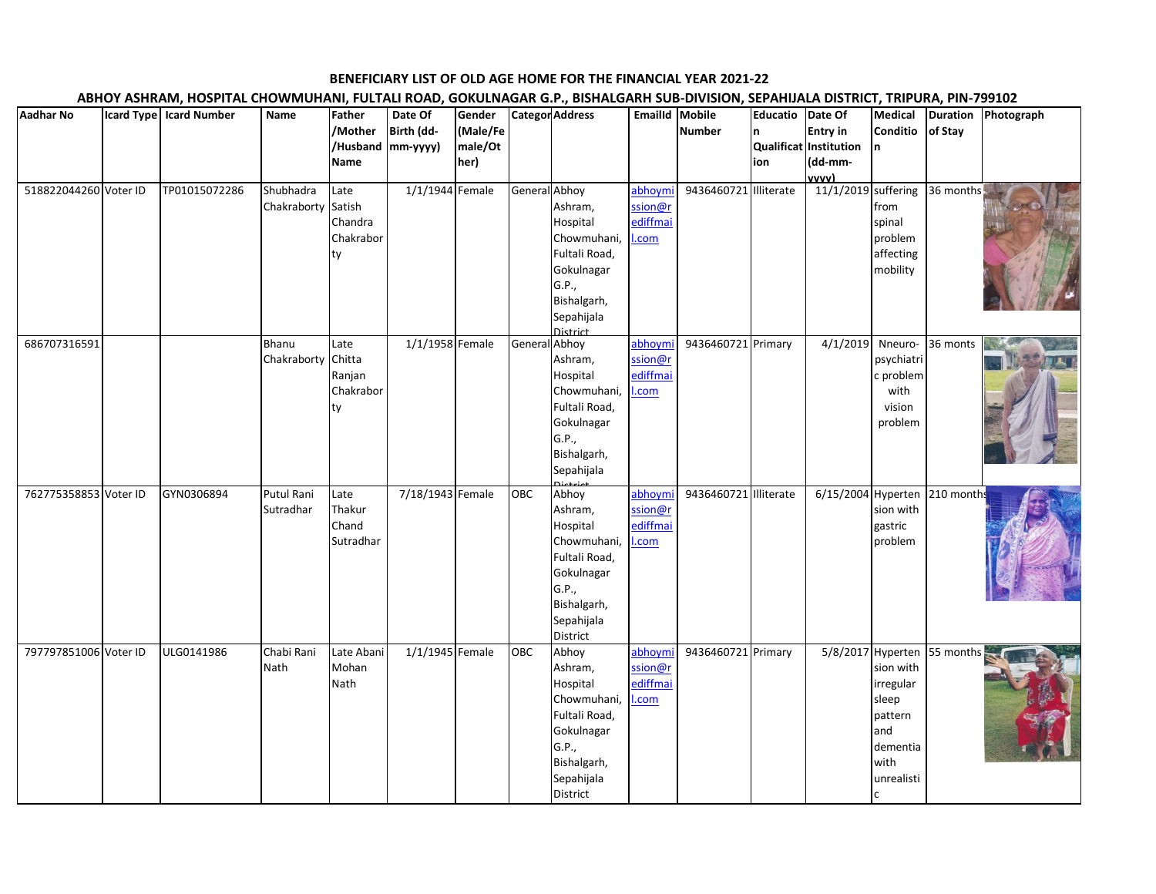## **BENEFICIARY LIST OF OLD AGE HOME FOR THE FINANCIAL YEAR 2021-22**

## **ABHOY ASHRAM, HOSPITAL CHOWMUHANI, FULTALI ROAD, GOKULNAGAR G.P., BISHALGARH SUB-DIVISION, SEPAHIJALA DISTRICT, TRIPURA, PIN-799102**

| <b>Aadhar No</b>      | Icard Type   Icard Number | Name                           | Father<br>/Mother<br>Name                    | Date Of<br>Birth (dd-<br>/Husband mm-yyyy) | Gender<br>(Male/Fe<br>male/Ot<br>her) |               | <b>Categor Address</b>                                                                                                       | Emailld Mobile                         | <b>Number</b>         | Educatio<br>n<br>ion | Date Of<br><b>Entry in</b><br>Qualificat Institution<br>(dd-mm-<br><u>vvvv)</u> | Conditio<br>In.                                                                                     | of Stay                     | Medical Duration Photograph |
|-----------------------|---------------------------|--------------------------------|----------------------------------------------|--------------------------------------------|---------------------------------------|---------------|------------------------------------------------------------------------------------------------------------------------------|----------------------------------------|-----------------------|----------------------|---------------------------------------------------------------------------------|-----------------------------------------------------------------------------------------------------|-----------------------------|-----------------------------|
| 518822044260 Voter ID | TP01015072286             | Shubhadra<br>Chakraborty       | Late<br>Satish<br>Chandra<br>Chakrabor<br>ty | 1/1/1944 Female                            |                                       | General Abhoy | Ashram,<br>Hospital<br>Chowmuhani,<br>Fultali Road,<br>Gokulnagar<br>G.P.,<br>Bishalgarh,<br>Sepahijala<br>District          | abhoymi<br>ssion@r<br>ediffmai<br>.com | 9436460721 Illiterate |                      | 11/1/2019 suffering                                                             | from<br>spinal<br>problem<br>affecting<br>mobility                                                  | 36 months                   |                             |
| 686707316591          |                           | Bhanu<br>Chakraborty           | Late<br>Chitta<br>Ranjan<br>Chakrabor<br>ty  | 1/1/1958 Female                            |                                       | General Abhoy | Ashram,<br>Hospital<br>Chowmuhani,<br>Fultali Road,<br>Gokulnagar<br>G.P.,<br>Bishalgarh,<br>Sepahijala                      | abhoymi<br>ssion@r<br>ediffmai<br>.com | 9436460721 Primary    |                      | 4/1/2019                                                                        | psychiatri<br>c problem<br>with<br>vision<br>problem                                                | Nneuro-36 monts             |                             |
| 762775358853 Voter ID | GYN0306894                | <b>Putul Rani</b><br>Sutradhar | Late<br>Thakur<br>Chand<br>Sutradhar         | 7/18/1943 Female                           |                                       | OBC           | Abhoy<br>Ashram,<br>Hospital<br>Chowmuhani,<br>Fultali Road,<br>Gokulnagar<br>G.P.,<br>Bishalgarh,<br>Sepahijala<br>District | abhoymi<br>ssion@r<br>ediffmai<br>.com | 9436460721 Illiterate |                      | 6/15/2004 Hyperten 210 months                                                   | sion with<br>gastric<br>problem                                                                     |                             |                             |
| 797797851006 Voter ID | ULG0141986                | Chabi Rani<br>Nath             | Late Abani<br>Mohan<br>Nath                  | 1/1/1945 Female                            |                                       | OBC           | Abhoy<br>Ashram,<br>Hospital<br>Chowmuhani,<br>Fultali Road,<br>Gokulnagar<br>G.P.,<br>Bishalgarh,<br>Sepahijala<br>District | abhoymi<br>ssion@r<br>ediffmai<br>.com | 9436460721 Primary    |                      |                                                                                 | sion with<br>irregular<br>sleep<br>pattern<br>and<br>dementia<br>with<br>unrealisti<br><sub>c</sub> | 5/8/2017 Hyperten 55 months |                             |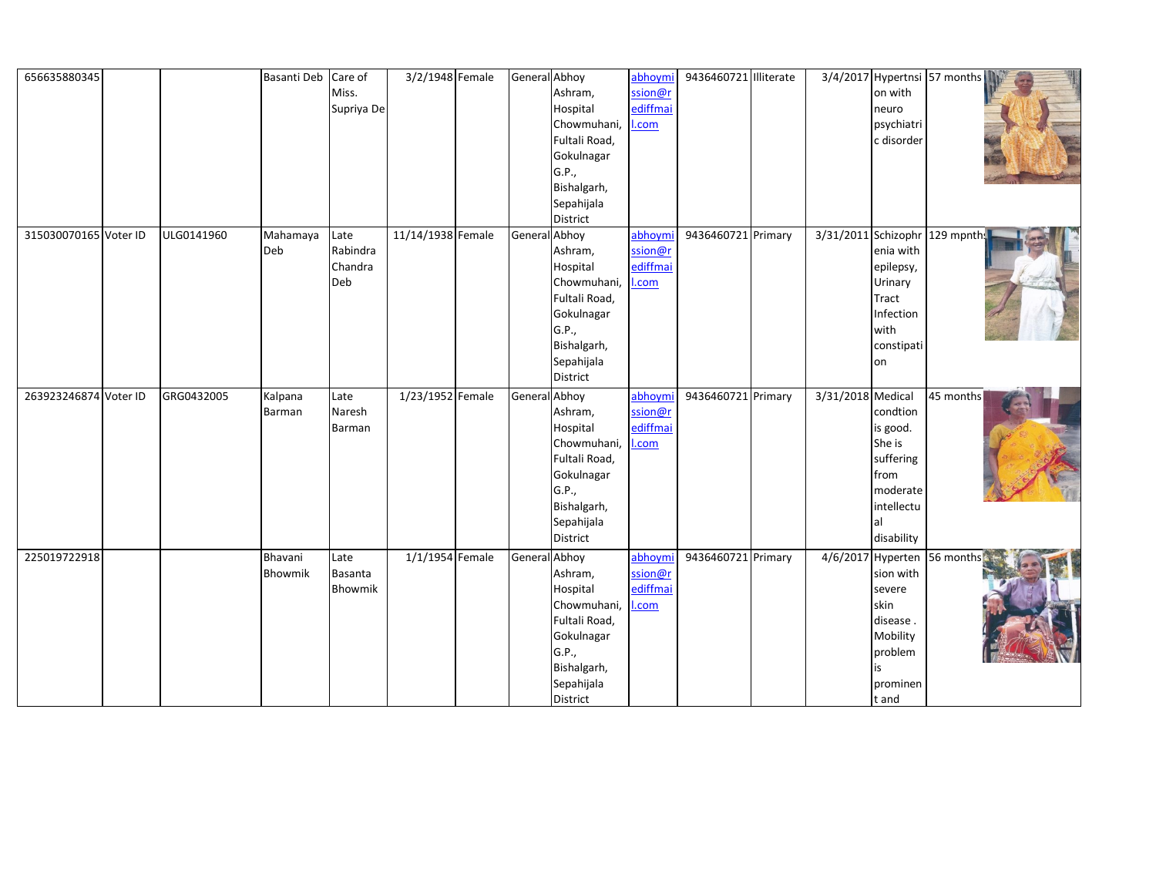| 656635880345          |            | Basanti Deb Care of |            | 3/2/1948 Female   | General Abhoy |               | abhoymi  | 9436460721 Illiterate |                   |                           | 3/4/2017 Hypertnsi 57 months   |  |
|-----------------------|------------|---------------------|------------|-------------------|---------------|---------------|----------|-----------------------|-------------------|---------------------------|--------------------------------|--|
|                       |            |                     | Miss.      |                   |               | Ashram,       | ssion@r  |                       |                   | on with                   |                                |  |
|                       |            |                     | Supriya De |                   |               | Hospital      | ediffmai |                       |                   | neuro                     |                                |  |
|                       |            |                     |            |                   |               | Chowmuhani,   | .com     |                       |                   | psychiatri                |                                |  |
|                       |            |                     |            |                   |               | Fultali Road, |          |                       |                   | c disorder                |                                |  |
|                       |            |                     |            |                   |               | Gokulnagar    |          |                       |                   |                           |                                |  |
|                       |            |                     |            |                   |               | G.P.,         |          |                       |                   |                           |                                |  |
|                       |            |                     |            |                   |               | Bishalgarh,   |          |                       |                   |                           |                                |  |
|                       |            |                     |            |                   |               | Sepahijala    |          |                       |                   |                           |                                |  |
|                       |            |                     |            |                   |               | District      |          |                       |                   |                           |                                |  |
| 315030070165 Voter ID | ULG0141960 | Mahamaya            | Late       | 11/14/1938 Female | General Abhoy |               | abhoym   | 9436460721 Primary    |                   |                           | 3/31/2011 Schizophr 129 mpnths |  |
|                       |            | Deb                 | Rabindra   |                   |               | Ashram,       | ssion@r  |                       |                   | enia with                 |                                |  |
|                       |            |                     | Chandra    |                   |               | Hospital      | ediffmai |                       |                   | epilepsy,                 |                                |  |
|                       |            |                     | Deb        |                   |               | Chowmuhani,   | .com     |                       |                   | Urinary                   |                                |  |
|                       |            |                     |            |                   |               | Fultali Road, |          |                       |                   | Tract                     |                                |  |
|                       |            |                     |            |                   |               | Gokulnagar    |          |                       |                   | Infection                 |                                |  |
|                       |            |                     |            |                   |               | G.P.,         |          |                       |                   | with                      |                                |  |
|                       |            |                     |            |                   |               | Bishalgarh,   |          |                       |                   | constipati                |                                |  |
|                       |            |                     |            |                   |               | Sepahijala    |          |                       |                   | on                        |                                |  |
|                       |            |                     |            |                   |               | District      |          |                       |                   |                           |                                |  |
| 263923246874 Voter ID | GRG0432005 | Kalpana             | Late       | 1/23/1952 Female  | General Abhoy |               | abhoym   | 9436460721 Primary    | 3/31/2018 Medical |                           | 45 months                      |  |
|                       |            | Barman              | Naresh     |                   |               | Ashram,       | ssion@r  |                       |                   | condtion                  |                                |  |
|                       |            |                     | Barman     |                   |               | Hospital      | ediffma  |                       |                   | is good.                  |                                |  |
|                       |            |                     |            |                   |               | Chowmuhani,   | .com     |                       |                   | She is                    |                                |  |
|                       |            |                     |            |                   |               | Fultali Road, |          |                       |                   | suffering                 |                                |  |
|                       |            |                     |            |                   |               | Gokulnagar    |          |                       |                   | from                      |                                |  |
|                       |            |                     |            |                   |               | G.P.,         |          |                       |                   | moderate                  |                                |  |
|                       |            |                     |            |                   |               | Bishalgarh,   |          |                       |                   | intellectu                |                                |  |
|                       |            |                     |            |                   |               | Sepahijala    |          |                       |                   | al                        |                                |  |
|                       |            |                     |            |                   |               | District      |          |                       |                   | disability                |                                |  |
| 225019722918          |            | Bhavani             | Late       | 1/1/1954 Female   | General Abhoy |               | abhoym   | 9436460721 Primary    |                   | 4/6/2017 Hyperten 56 mont |                                |  |
|                       |            | Bhowmik             | Basanta    |                   |               | Ashram,       | ssion@r  |                       |                   | sion with                 |                                |  |
|                       |            |                     | Bhowmik    |                   |               | Hospital      | ediffma  |                       |                   | severe                    |                                |  |
|                       |            |                     |            |                   |               | Chowmuhani,   | .com     |                       |                   | skin                      |                                |  |
|                       |            |                     |            |                   |               | Fultali Road, |          |                       |                   | disease.                  |                                |  |
|                       |            |                     |            |                   |               | Gokulnagar    |          |                       |                   | Mobility                  |                                |  |
|                       |            |                     |            |                   |               | G.P.,         |          |                       |                   | problem                   |                                |  |
|                       |            |                     |            |                   |               | Bishalgarh,   |          |                       |                   | is                        |                                |  |
|                       |            |                     |            |                   |               | Sepahijala    |          |                       |                   | prominen                  |                                |  |
|                       |            |                     |            |                   |               |               |          |                       |                   |                           |                                |  |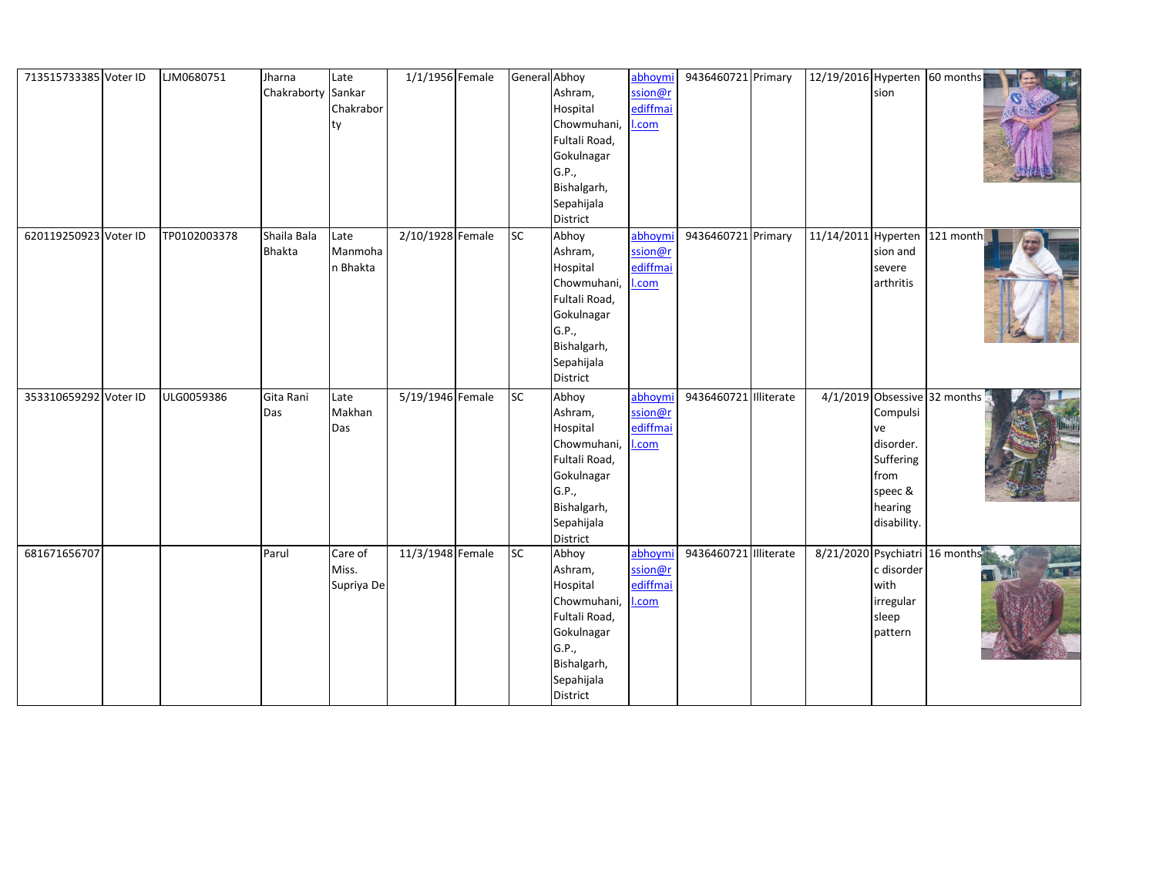| 713515733385 Voter ID | LJM0680751   | Jharna             | Late       | 1/1/1956 Female  |    | General Abhoy | abhoymi  | 9436460721 Primary    | 12/19/2016 Hyperten 60 months  |             |                              |                |
|-----------------------|--------------|--------------------|------------|------------------|----|---------------|----------|-----------------------|--------------------------------|-------------|------------------------------|----------------|
|                       |              | Chakraborty Sankar |            |                  |    | Ashram,       | ssion@r  |                       |                                | sion        |                              |                |
|                       |              |                    | Chakrabor  |                  |    | Hospital      | ediffmai |                       |                                |             |                              |                |
|                       |              |                    | ty         |                  |    | Chowmuhani,   | .com     |                       |                                |             |                              |                |
|                       |              |                    |            |                  |    | Fultali Road, |          |                       |                                |             |                              |                |
|                       |              |                    |            |                  |    | Gokulnagar    |          |                       |                                |             |                              |                |
|                       |              |                    |            |                  |    | G.P.,         |          |                       |                                |             |                              |                |
|                       |              |                    |            |                  |    | Bishalgarh,   |          |                       |                                |             |                              |                |
|                       |              |                    |            |                  |    | Sepahijala    |          |                       |                                |             |                              |                |
|                       |              |                    |            |                  |    | District      |          |                       |                                |             |                              |                |
| 620119250923 Voter ID | TP0102003378 | Shaila Bala        | Late       | 2/10/1928 Female | SC | Abhoy         | abhoymi  | 9436460721 Primary    | 11/14/2011 Hyperten 121 month: |             |                              |                |
|                       |              | <b>Bhakta</b>      | Manmoha    |                  |    | Ashram,       | ssion@r  |                       |                                | sion and    |                              |                |
|                       |              |                    | n Bhakta   |                  |    | Hospital      | ediffmai |                       |                                | severe      |                              |                |
|                       |              |                    |            |                  |    | Chowmuhani,   | .com     |                       |                                | arthritis   |                              |                |
|                       |              |                    |            |                  |    | Fultali Road, |          |                       |                                |             |                              |                |
|                       |              |                    |            |                  |    | Gokulnagar    |          |                       |                                |             |                              |                |
|                       |              |                    |            |                  |    | G.P.,         |          |                       |                                |             |                              |                |
|                       |              |                    |            |                  |    | Bishalgarh,   |          |                       |                                |             |                              |                |
|                       |              |                    |            |                  |    | Sepahijala    |          |                       |                                |             |                              |                |
|                       |              |                    |            |                  |    | District      |          |                       |                                |             |                              |                |
| 353310659292 Voter ID | ULG0059386   | Gita Rani          | Late       | 5/19/1946 Female | SC | Abhoy         | abhoymi  | 9436460721 Illiterate |                                |             | 4/1/2019 Obsessive 32 months |                |
|                       |              | Das                | Makhan     |                  |    | Ashram,       | ssion@r  |                       |                                | Compulsi    |                              |                |
|                       |              |                    | Das        |                  |    | Hospital      | ediffmai |                       |                                | ve          |                              |                |
|                       |              |                    |            |                  |    | Chowmuhani,   | .com     |                       |                                | disorder.   |                              |                |
|                       |              |                    |            |                  |    | Fultali Road, |          |                       |                                | Suffering   |                              |                |
|                       |              |                    |            |                  |    | Gokulnagar    |          |                       |                                | from        |                              |                |
|                       |              |                    |            |                  |    | G.P.,         |          |                       |                                | speec &     |                              |                |
|                       |              |                    |            |                  |    | Bishalgarh,   |          |                       |                                | hearing     |                              |                |
|                       |              |                    |            |                  |    | Sepahijala    |          |                       |                                | disability. |                              |                |
|                       |              |                    |            |                  |    | District      |          |                       |                                |             |                              |                |
| 681671656707          |              | Parul              | Care of    | 11/3/1948 Female | SC | Abhoy         | abhoymi  | 9436460721 Illiterate | 8/21/2020 Psychiatri 16 months |             |                              |                |
|                       |              |                    | Miss.      |                  |    | Ashram,       | ssion@r  |                       |                                | c disorder  |                              | $\blacksquare$ |
|                       |              |                    | Supriya De |                  |    | Hospital      | ediffmai |                       |                                | with        |                              |                |
|                       |              |                    |            |                  |    | Chowmuhani,   | .com     |                       |                                | irregular   |                              |                |
|                       |              |                    |            |                  |    | Fultali Road, |          |                       |                                | sleep       |                              |                |
|                       |              |                    |            |                  |    | Gokulnagar    |          |                       |                                | pattern     |                              |                |
|                       |              |                    |            |                  |    | G.P.,         |          |                       |                                |             |                              |                |
|                       |              |                    |            |                  |    | Bishalgarh,   |          |                       |                                |             |                              |                |
|                       |              |                    |            |                  |    | Sepahijala    |          |                       |                                |             |                              |                |
|                       |              |                    |            |                  |    | District      |          |                       |                                |             |                              |                |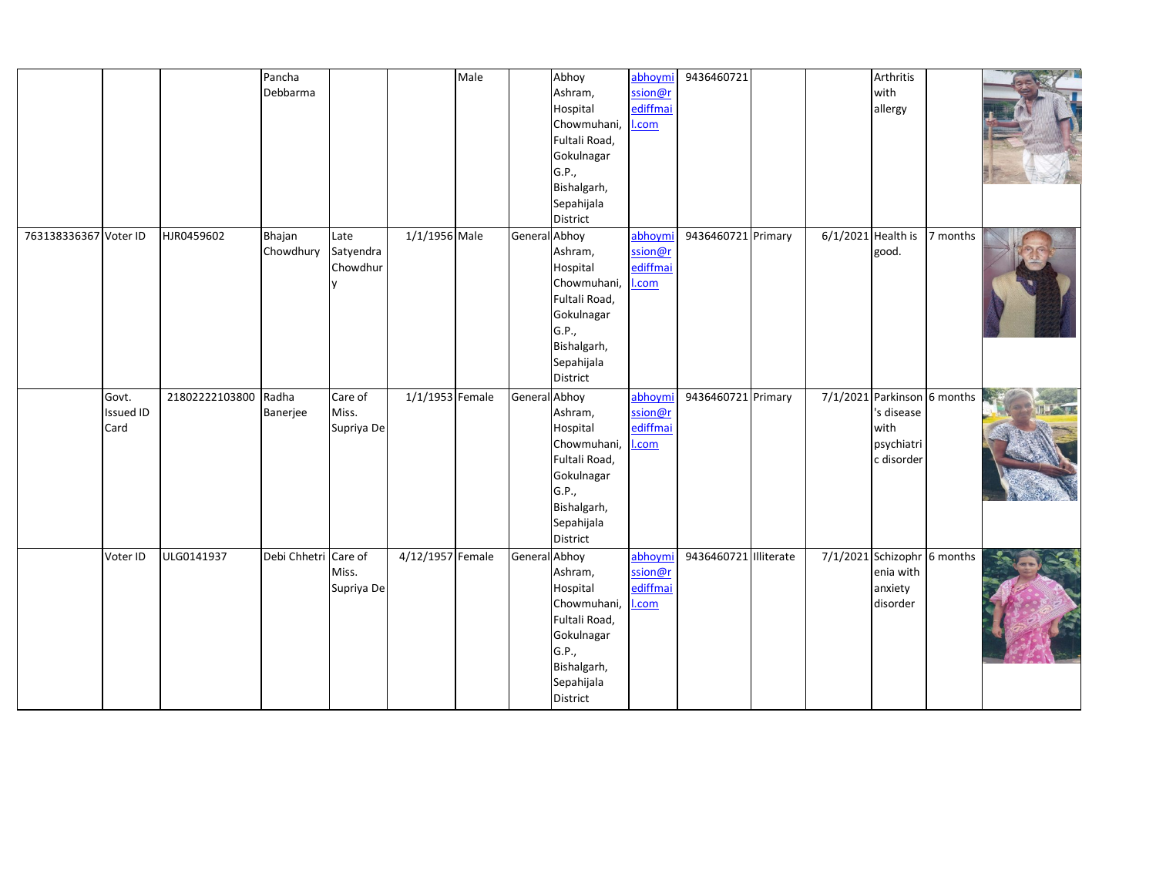|                       |           |                | Pancha               |            |                   | Male |               | Abhoy         | abhoymi            | 9436460721            |  | Arthritis                     |  |
|-----------------------|-----------|----------------|----------------------|------------|-------------------|------|---------------|---------------|--------------------|-----------------------|--|-------------------------------|--|
|                       |           |                | Debbarma             |            |                   |      |               | Ashram,       | ssion@r            |                       |  | with                          |  |
|                       |           |                |                      |            |                   |      |               | Hospital      | ediffmai           |                       |  | allergy                       |  |
|                       |           |                |                      |            |                   |      |               | Chowmuhani,   | I.com              |                       |  |                               |  |
|                       |           |                |                      |            |                   |      |               | Fultali Road, |                    |                       |  |                               |  |
|                       |           |                |                      |            |                   |      |               | Gokulnagar    |                    |                       |  |                               |  |
|                       |           |                |                      |            |                   |      |               | G.P.,         |                    |                       |  |                               |  |
|                       |           |                |                      |            |                   |      |               | Bishalgarh,   |                    |                       |  |                               |  |
|                       |           |                |                      |            |                   |      |               | Sepahijala    |                    |                       |  |                               |  |
|                       |           |                |                      |            |                   |      |               | District      |                    |                       |  |                               |  |
| 763138336367 Voter ID |           | HJR0459602     | Bhajan               | Late       | 1/1/1956 Male     |      | General Abhoy |               | abhoymi            | 9436460721 Primary    |  | $6/1/2021$ Health is 7 months |  |
|                       |           |                | Chowdhury Satyendra  |            |                   |      |               | Ashram,       | ssion@r            |                       |  | good.                         |  |
|                       |           |                |                      | Chowdhur   |                   |      |               | Hospital      | ediffmai           |                       |  |                               |  |
|                       |           |                |                      | <b>V</b>   |                   |      |               | Chowmuhani,   | l.com              |                       |  |                               |  |
|                       |           |                |                      |            |                   |      |               | Fultali Road, |                    |                       |  |                               |  |
|                       |           |                |                      |            |                   |      |               | Gokulnagar    |                    |                       |  |                               |  |
|                       |           |                |                      |            |                   |      |               | G.P.,         |                    |                       |  |                               |  |
|                       |           |                |                      |            |                   |      |               | Bishalgarh,   |                    |                       |  |                               |  |
|                       |           |                |                      |            |                   |      |               | Sepahijala    |                    |                       |  |                               |  |
|                       |           |                |                      |            |                   |      |               | District      |                    |                       |  |                               |  |
|                       |           |                |                      |            |                   |      |               |               |                    |                       |  |                               |  |
|                       | Govt.     | 21802222103800 | Radha                | Care of    | $1/1/1953$ Female |      | General Abhoy |               | abhoymi<br>ssion@r | 9436460721 Primary    |  | 7/1/2021 Parkinson 6 months   |  |
|                       | Issued ID |                | Banerjee             | Miss.      |                   |      |               | Ashram,       | ediffmai           |                       |  | 's disease                    |  |
|                       | Card      |                |                      | Supriya De |                   |      |               | Hospital      |                    |                       |  | with                          |  |
|                       |           |                |                      |            |                   |      |               | Chowmuhani,   | l.com              |                       |  | psychiatri                    |  |
|                       |           |                |                      |            |                   |      |               | Fultali Road, |                    |                       |  | c disorder                    |  |
|                       |           |                |                      |            |                   |      |               | Gokulnagar    |                    |                       |  |                               |  |
|                       |           |                |                      |            |                   |      |               | G.P.,         |                    |                       |  |                               |  |
|                       |           |                |                      |            |                   |      |               | Bishalgarh,   |                    |                       |  |                               |  |
|                       |           |                |                      |            |                   |      |               | Sepahijala    |                    |                       |  |                               |  |
|                       |           |                |                      |            |                   |      |               | District      |                    |                       |  |                               |  |
|                       | Voter ID  | ULG0141937     | Debi Chhetri Care of |            | 4/12/1957 Female  |      | General Abhoy |               | abhoymi            | 9436460721 Illiterate |  | 7/1/2021 Schizophr 6 months   |  |
|                       |           |                |                      | Miss.      |                   |      |               | Ashram,       | ssion@r            |                       |  | enia with                     |  |
|                       |           |                |                      | Supriya De |                   |      |               | Hospital      | ediffmai           |                       |  | anxiety                       |  |
|                       |           |                |                      |            |                   |      |               | Chowmuhani,   | l.com              |                       |  | disorder                      |  |
|                       |           |                |                      |            |                   |      |               | Fultali Road, |                    |                       |  |                               |  |
|                       |           |                |                      |            |                   |      |               | Gokulnagar    |                    |                       |  |                               |  |
|                       |           |                |                      |            |                   |      |               | G.P.,         |                    |                       |  |                               |  |
|                       |           |                |                      |            |                   |      |               | Bishalgarh,   |                    |                       |  |                               |  |
|                       |           |                |                      |            |                   |      |               | Sepahijala    |                    |                       |  |                               |  |
|                       |           |                |                      |            |                   |      |               | District      |                    |                       |  |                               |  |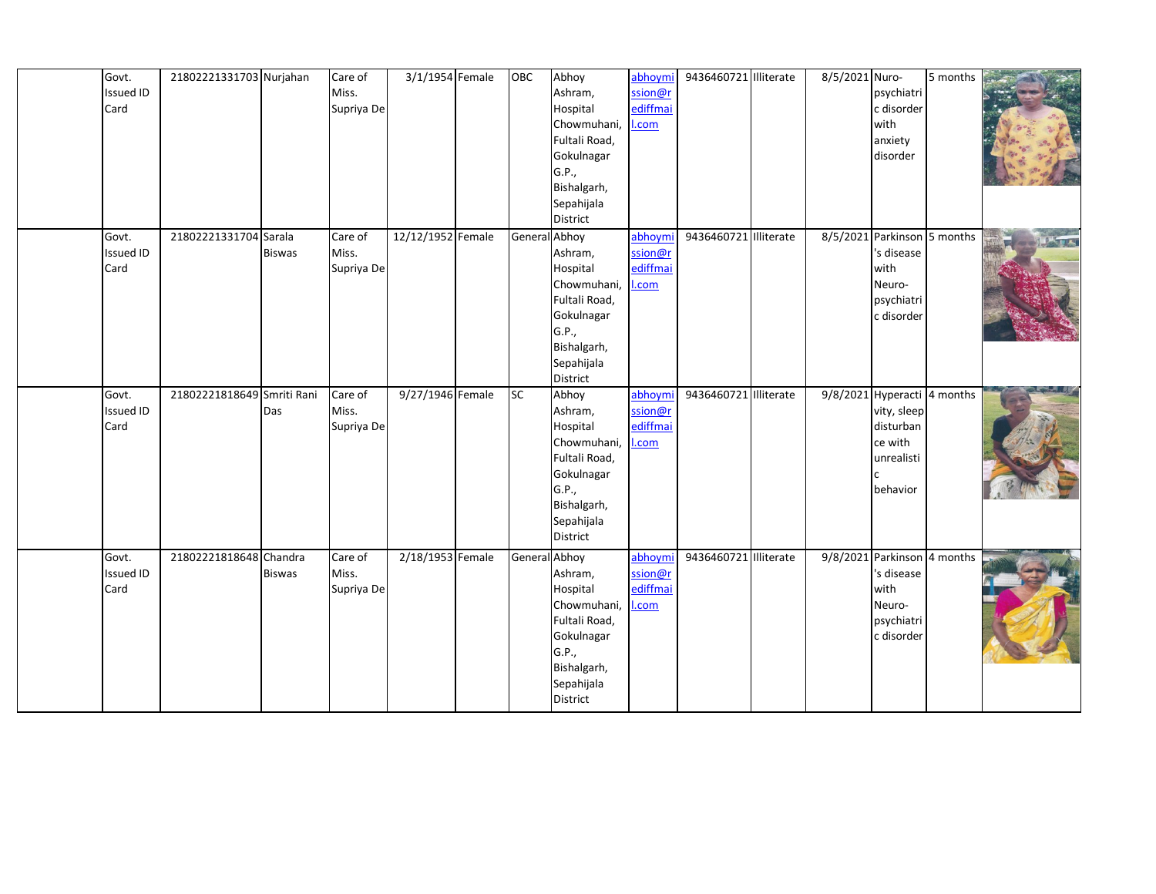| 3/1/1954 Female<br>Abhoy<br>Govt.<br>21802221331703 Nurjahan<br>OBC<br>abhoymi<br>9436460721 Illiterate<br>Care of<br><b>Issued ID</b><br>Miss.<br>Ashram,<br>ssion@r<br>ediffmai<br>Card<br>Supriya De<br>Hospital<br>Chowmuhani,<br>I.com<br>Fultali Road,<br>Gokulnagar<br>G.P.,<br>Bishalgarh,<br>Sepahijala<br>District<br>12/12/1952 Female<br>General Abhoy<br>9436460721 Illiterate<br>Govt.<br>21802221331704 Sarala<br>Care of<br>abhoymi<br>Ashram,<br>ssion@r<br><b>Issued ID</b><br>Miss.<br><b>Biswas</b><br>ediffmai<br>Card<br>Supriya De<br>Hospital<br>Chowmuhani,<br>I.com<br>Fultali Road,<br>Gokulnagar<br>G.P.,<br>Bishalgarh,<br>Sepahijala<br>District | 5 months<br>8/5/2021 Nuro-<br>psychiatri<br>c disorder<br>with<br>anxiety<br>disorder<br>8/5/2021 Parkinson 5 months<br>'s disease |
|--------------------------------------------------------------------------------------------------------------------------------------------------------------------------------------------------------------------------------------------------------------------------------------------------------------------------------------------------------------------------------------------------------------------------------------------------------------------------------------------------------------------------------------------------------------------------------------------------------------------------------------------------------------------------------|------------------------------------------------------------------------------------------------------------------------------------|
|                                                                                                                                                                                                                                                                                                                                                                                                                                                                                                                                                                                                                                                                                |                                                                                                                                    |
|                                                                                                                                                                                                                                                                                                                                                                                                                                                                                                                                                                                                                                                                                |                                                                                                                                    |
|                                                                                                                                                                                                                                                                                                                                                                                                                                                                                                                                                                                                                                                                                |                                                                                                                                    |
|                                                                                                                                                                                                                                                                                                                                                                                                                                                                                                                                                                                                                                                                                |                                                                                                                                    |
|                                                                                                                                                                                                                                                                                                                                                                                                                                                                                                                                                                                                                                                                                |                                                                                                                                    |
|                                                                                                                                                                                                                                                                                                                                                                                                                                                                                                                                                                                                                                                                                |                                                                                                                                    |
|                                                                                                                                                                                                                                                                                                                                                                                                                                                                                                                                                                                                                                                                                |                                                                                                                                    |
|                                                                                                                                                                                                                                                                                                                                                                                                                                                                                                                                                                                                                                                                                |                                                                                                                                    |
|                                                                                                                                                                                                                                                                                                                                                                                                                                                                                                                                                                                                                                                                                |                                                                                                                                    |
|                                                                                                                                                                                                                                                                                                                                                                                                                                                                                                                                                                                                                                                                                |                                                                                                                                    |
|                                                                                                                                                                                                                                                                                                                                                                                                                                                                                                                                                                                                                                                                                |                                                                                                                                    |
|                                                                                                                                                                                                                                                                                                                                                                                                                                                                                                                                                                                                                                                                                |                                                                                                                                    |
|                                                                                                                                                                                                                                                                                                                                                                                                                                                                                                                                                                                                                                                                                | with                                                                                                                               |
|                                                                                                                                                                                                                                                                                                                                                                                                                                                                                                                                                                                                                                                                                | Neuro-                                                                                                                             |
|                                                                                                                                                                                                                                                                                                                                                                                                                                                                                                                                                                                                                                                                                | psychiatri                                                                                                                         |
|                                                                                                                                                                                                                                                                                                                                                                                                                                                                                                                                                                                                                                                                                | c disorder                                                                                                                         |
|                                                                                                                                                                                                                                                                                                                                                                                                                                                                                                                                                                                                                                                                                |                                                                                                                                    |
|                                                                                                                                                                                                                                                                                                                                                                                                                                                                                                                                                                                                                                                                                |                                                                                                                                    |
|                                                                                                                                                                                                                                                                                                                                                                                                                                                                                                                                                                                                                                                                                |                                                                                                                                    |
|                                                                                                                                                                                                                                                                                                                                                                                                                                                                                                                                                                                                                                                                                |                                                                                                                                    |
| 9/27/1946 Female<br>SC<br>9436460721 Illiterate<br>Govt.<br>21802221818649 Smriti Rani<br>Care of<br>Abhoy<br>abhoymi                                                                                                                                                                                                                                                                                                                                                                                                                                                                                                                                                          | 9/8/2021 Hyperacti 4 months                                                                                                        |
| <b>Issued ID</b><br>Miss.<br>Ashram,<br>ssion@r<br>Das                                                                                                                                                                                                                                                                                                                                                                                                                                                                                                                                                                                                                         | vity, sleep                                                                                                                        |
| ediffmai<br>Card<br>Hospital<br>Supriya De                                                                                                                                                                                                                                                                                                                                                                                                                                                                                                                                                                                                                                     | disturban                                                                                                                          |
| Chowmuhani,<br>I.com                                                                                                                                                                                                                                                                                                                                                                                                                                                                                                                                                                                                                                                           | ce with                                                                                                                            |
| Fultali Road,                                                                                                                                                                                                                                                                                                                                                                                                                                                                                                                                                                                                                                                                  | unrealisti                                                                                                                         |
| Gokulnagar                                                                                                                                                                                                                                                                                                                                                                                                                                                                                                                                                                                                                                                                     |                                                                                                                                    |
| G.P.,                                                                                                                                                                                                                                                                                                                                                                                                                                                                                                                                                                                                                                                                          | behavior                                                                                                                           |
| Bishalgarh,                                                                                                                                                                                                                                                                                                                                                                                                                                                                                                                                                                                                                                                                    |                                                                                                                                    |
| Sepahijala                                                                                                                                                                                                                                                                                                                                                                                                                                                                                                                                                                                                                                                                     |                                                                                                                                    |
| District                                                                                                                                                                                                                                                                                                                                                                                                                                                                                                                                                                                                                                                                       |                                                                                                                                    |
| 2/18/1953 Female<br>General Abhoy<br>9436460721 Illiterate<br>Govt.<br>21802221818648 Chandra<br>Care of<br>abhoymi                                                                                                                                                                                                                                                                                                                                                                                                                                                                                                                                                            | 9/8/2021 Parkinson 4 months                                                                                                        |
| <b>Issued ID</b><br>Miss.<br>Ashram,<br>ssion@r<br><b>Biswas</b>                                                                                                                                                                                                                                                                                                                                                                                                                                                                                                                                                                                                               | 's disease                                                                                                                         |
| ediffmai<br>Card<br>Supriya De<br>Hospital                                                                                                                                                                                                                                                                                                                                                                                                                                                                                                                                                                                                                                     | with                                                                                                                               |
| Chowmuhani,<br>l.com                                                                                                                                                                                                                                                                                                                                                                                                                                                                                                                                                                                                                                                           | Neuro-                                                                                                                             |
| Fultali Road,                                                                                                                                                                                                                                                                                                                                                                                                                                                                                                                                                                                                                                                                  | psychiatri                                                                                                                         |
| Gokulnagar                                                                                                                                                                                                                                                                                                                                                                                                                                                                                                                                                                                                                                                                     | c disorder                                                                                                                         |
| G.P.,                                                                                                                                                                                                                                                                                                                                                                                                                                                                                                                                                                                                                                                                          |                                                                                                                                    |
| Bishalgarh,                                                                                                                                                                                                                                                                                                                                                                                                                                                                                                                                                                                                                                                                    |                                                                                                                                    |
| Sepahijala                                                                                                                                                                                                                                                                                                                                                                                                                                                                                                                                                                                                                                                                     |                                                                                                                                    |
| District                                                                                                                                                                                                                                                                                                                                                                                                                                                                                                                                                                                                                                                                       |                                                                                                                                    |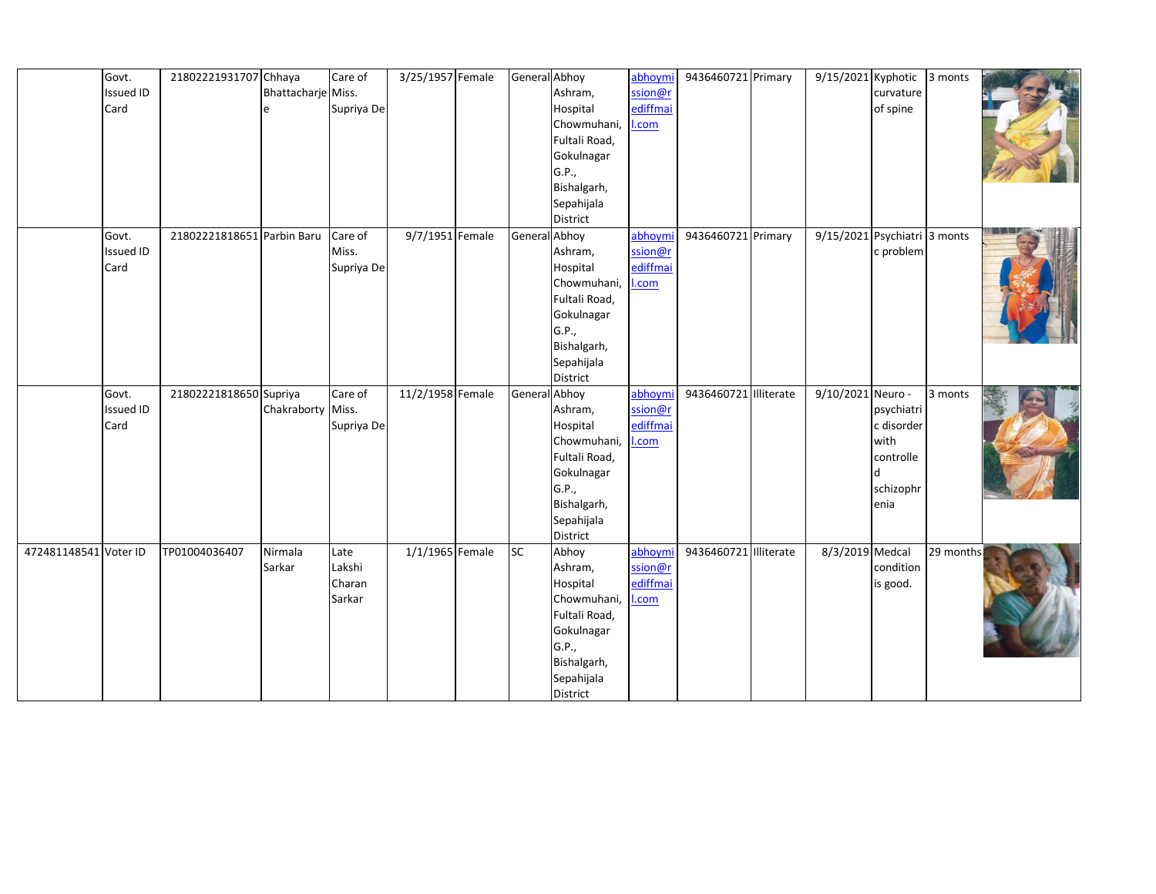|                       | Govt.            | 21802221931707 Chhaya      |                    | Care of    | 3/25/1957 Female | General Abhoy |                         | abhoymi  | 9436460721 Primary    | $9/15/2021$ Kyphotic 3 monts |                    |                      |  |
|-----------------------|------------------|----------------------------|--------------------|------------|------------------|---------------|-------------------------|----------|-----------------------|------------------------------|--------------------|----------------------|--|
|                       | <b>Issued ID</b> |                            | Bhattacharje Miss. |            |                  |               | Ashram,                 | ssion@r  |                       |                              | curvature          |                      |  |
|                       | Card             |                            | e                  | Supriya De |                  |               | Hospital                | ediffmai |                       |                              | of spine           |                      |  |
|                       |                  |                            |                    |            |                  |               | Chowmuhani,             | .com     |                       |                              |                    |                      |  |
|                       |                  |                            |                    |            |                  |               | Fultali Road,           |          |                       |                              |                    |                      |  |
|                       |                  |                            |                    |            |                  |               | Gokulnagar              |          |                       |                              |                    |                      |  |
|                       |                  |                            |                    |            |                  |               | G.P.,                   |          |                       |                              |                    |                      |  |
|                       |                  |                            |                    |            |                  |               | Bishalgarh,             |          |                       |                              |                    |                      |  |
|                       |                  |                            |                    |            |                  |               | Sepahijala              |          |                       |                              |                    |                      |  |
|                       |                  |                            |                    |            |                  |               | District                |          |                       |                              |                    |                      |  |
|                       | Govt.            | 21802221818651 Parbin Baru |                    | Care of    | 9/7/1951 Female  | General Abhoy |                         | abhoymi  | 9436460721 Primary    | 9/15/2021 Psychiatri 3 monts |                    |                      |  |
|                       | <b>Issued ID</b> |                            |                    | Miss.      |                  |               | Ashram,                 | ssion@r  |                       |                              | c problem          |                      |  |
|                       | Card             |                            |                    | Supriya De |                  |               | Hospital                | ediffmai |                       |                              |                    |                      |  |
|                       |                  |                            |                    |            |                  |               | Chowmuhani,             | .com     |                       |                              |                    |                      |  |
|                       |                  |                            |                    |            |                  |               | Fultali Road,           |          |                       |                              |                    |                      |  |
|                       |                  |                            |                    |            |                  |               | Gokulnagar              |          |                       |                              |                    |                      |  |
|                       |                  |                            |                    |            |                  |               | G.P.,                   |          |                       |                              |                    |                      |  |
|                       |                  |                            |                    |            |                  |               | Bishalgarh,             |          |                       |                              |                    |                      |  |
|                       |                  |                            |                    |            |                  |               | Sepahijala              |          |                       |                              |                    |                      |  |
|                       |                  |                            |                    |            |                  |               | District                |          |                       |                              |                    |                      |  |
|                       | Govt.            | 21802221818650 Supriya     |                    | Care of    | 11/2/1958 Female | General       | Abhoy                   | abhoymi  | 9436460721 Illiterate | 9/10/2021 Neuro -            |                    | $\overline{3}$ monts |  |
|                       | <b>Issued ID</b> |                            | Chakraborty Miss.  |            |                  |               | Ashram,                 | ssion@r  |                       |                              | psychiatri         |                      |  |
|                       | Card             |                            |                    | Supriya De |                  |               | Hospital<br>Chowmuhani, | ediffmai |                       |                              | c disorder<br>with |                      |  |
|                       |                  |                            |                    |            |                  |               | Fultali Road,           | .com     |                       |                              | controlle          |                      |  |
|                       |                  |                            |                    |            |                  |               | Gokulnagar              |          |                       |                              |                    |                      |  |
|                       |                  |                            |                    |            |                  |               | G.P.,                   |          |                       |                              | schizophr          |                      |  |
|                       |                  |                            |                    |            |                  |               | Bishalgarh,             |          |                       |                              | enia               |                      |  |
|                       |                  |                            |                    |            |                  |               | Sepahijala              |          |                       |                              |                    |                      |  |
|                       |                  |                            |                    |            |                  |               | District                |          |                       |                              |                    |                      |  |
| 472481148541 Voter ID |                  | TP01004036407              | Nirmala            | Late       | 1/1/1965 Female  | <b>SC</b>     | Abhoy                   | abhoymi  | 9436460721 Illiterate | 8/3/2019 Medcal              |                    | 29 months            |  |
|                       |                  |                            | Sarkar             | Lakshi     |                  |               | Ashram,                 | ssion@r  |                       |                              | condition          |                      |  |
|                       |                  |                            |                    | Charan     |                  |               | Hospital                | ediffmai |                       |                              | is good.           |                      |  |
|                       |                  |                            |                    | Sarkar     |                  |               | Chowmuhani,             | .com     |                       |                              |                    |                      |  |
|                       |                  |                            |                    |            |                  |               | Fultali Road,           |          |                       |                              |                    |                      |  |
|                       |                  |                            |                    |            |                  |               | Gokulnagar              |          |                       |                              |                    |                      |  |
|                       |                  |                            |                    |            |                  |               | G.P.,                   |          |                       |                              |                    |                      |  |
|                       |                  |                            |                    |            |                  |               | Bishalgarh,             |          |                       |                              |                    |                      |  |
|                       |                  |                            |                    |            |                  |               | Sepahijala              |          |                       |                              |                    |                      |  |
|                       |                  |                            |                    |            |                  |               | District                |          |                       |                              |                    |                      |  |